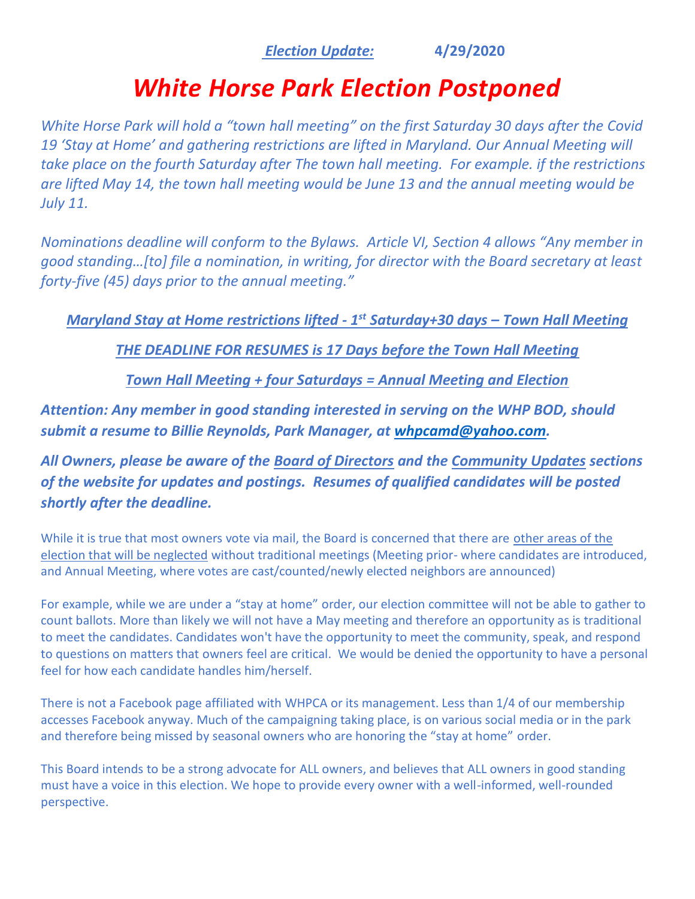## *Election Update:* **4/29/2020**

## *White Horse Park Election Postponed*

*White Horse Park will hold a "town hall meeting" on the first Saturday 30 days after the Covid 19 'Stay at Home' and gathering restrictions are lifted in Maryland. Our Annual Meeting will take place on the fourth Saturday after The town hall meeting. For example. if the restrictions are lifted May 14, the town hall meeting would be June 13 and the annual meeting would be July 11.*

*Nominations deadline will conform to the Bylaws. Article VI, Section 4 allows "Any member in good standing…[to] file a nomination, in writing, for director with the Board secretary at least forty-five (45) days prior to the annual meeting."*

*Maryland Stay at Home restrictions lifted - 1 st Saturday+30 days – Town Hall Meeting*

*THE DEADLINE FOR RESUMES is 17 Days before the Town Hall Meeting* 

*Town Hall Meeting + four Saturdays = Annual Meeting and Election*

*Attention: Any member in good standing interested in serving on the WHP BOD, should submit a resume to Billie Reynolds, Park Manager, at [whpcamd@yahoo.com.](about:blank)* 

*All Owners, please be aware of the Board of Directors and the Community Updates sections of the website for updates and postings. Resumes of qualified candidates will be posted shortly after the deadline.*

While it is true that most owners vote via mail, the Board is concerned that there are other areas of the election that will be neglected without traditional meetings (Meeting prior- where candidates are introduced, and Annual Meeting, where votes are cast/counted/newly elected neighbors are announced)

For example, while we are under a "stay at home" order, our election committee will not be able to gather to count ballots. More than likely we will not have a May meeting and therefore an opportunity as is traditional to meet the candidates. Candidates won't have the opportunity to meet the community, speak, and respond to questions on matters that owners feel are critical. We would be denied the opportunity to have a personal feel for how each candidate handles him/herself.

There is not a Facebook page affiliated with WHPCA or its management. Less than 1/4 of our membership accesses Facebook anyway. Much of the campaigning taking place, is on various social media or in the park and therefore being missed by seasonal owners who are honoring the "stay at home" order.

This Board intends to be a strong advocate for ALL owners, and believes that ALL owners in good standing must have a voice in this election. We hope to provide every owner with a well-informed, well-rounded perspective.